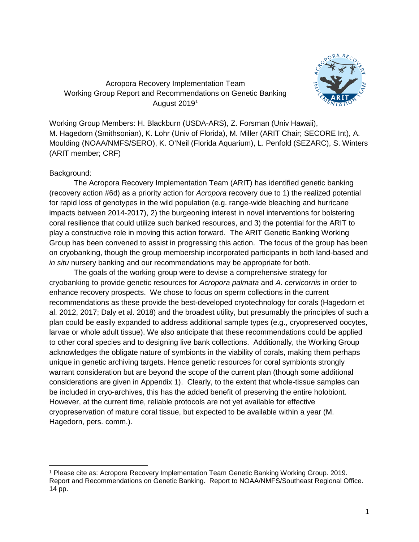

# Acropora Recovery Implementation Team Working Group Report and Recommendations on Genetic Banking August 2019[1](#page-0-0)

Working Group Members: H. Blackburn (USDA-ARS), Z. Forsman (Univ Hawaii), M. Hagedorn (Smithsonian), K. Lohr (Univ of Florida), M. Miller (ARIT Chair; SECORE Int), A. Moulding (NOAA/NMFS/SERO), K. O'Neil (Florida Aquarium), L. Penfold (SEZARC), S. Winters (ARIT member; CRF)

# Background:

The Acropora Recovery Implementation Team (ARIT) has identified genetic banking (recovery action #6d) as a priority action for *Acropora* recovery due to 1) the realized potential for rapid loss of genotypes in the wild population (e.g. range-wide bleaching and hurricane impacts between 2014-2017), 2) the burgeoning interest in novel interventions for bolstering coral resilience that could utilize such banked resources, and 3) the potential for the ARIT to play a constructive role in moving this action forward. The ARIT Genetic Banking Working Group has been convened to assist in progressing this action. The focus of the group has been on cryobanking, though the group membership incorporated participants in both land-based and *in situ* nursery banking and our recommendations may be appropriate for both.

The goals of the working group were to devise a comprehensive strategy for cryobanking to provide genetic resources for *Acropora palmata* and *A. cervicornis* in order to enhance recovery prospects. We chose to focus on sperm collections in the current recommendations as these provide the best-developed cryotechnology for corals (Hagedorn et al. 2012, 2017; Daly et al. 2018) and the broadest utility, but presumably the principles of such a plan could be easily expanded to address additional sample types (e.g., cryopreserved oocytes, larvae or whole adult tissue). We also anticipate that these recommendations could be applied to other coral species and to designing live bank collections. Additionally, the Working Group acknowledges the obligate nature of symbionts in the viability of corals, making them perhaps unique in genetic archiving targets. Hence genetic resources for coral symbionts strongly warrant consideration but are beyond the scope of the current plan (though some additional considerations are given in Appendix 1). Clearly, to the extent that whole-tissue samples can be included in cryo-archives, this has the added benefit of preserving the entire holobiont. However, at the current time, reliable protocols are not yet available for effective cryopreservation of mature coral tissue, but expected to be available within a year (M. Hagedorn, pers. comm.).

<span id="page-0-0"></span> <sup>1</sup> Please cite as: Acropora Recovery Implementation Team Genetic Banking Working Group. 2019. Report and Recommendations on Genetic Banking. Report to NOAA/NMFS/Southeast Regional Office. 14 pp.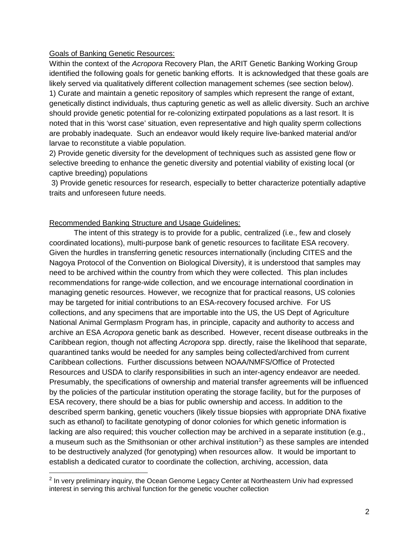## Goals of Banking Genetic Resources:

Within the context of the *Acropora* Recovery Plan, the ARIT Genetic Banking Working Group identified the following goals for genetic banking efforts. It is acknowledged that these goals are likely served via qualitatively different collection management schemes (see section below). 1) Curate and maintain a genetic repository of samples which represent the range of extant, genetically distinct individuals, thus capturing genetic as well as allelic diversity. Such an archive should provide genetic potential for re-colonizing extirpated populations as a last resort. It is noted that in this 'worst case' situation, even representative and high quality sperm collections are probably inadequate. Such an endeavor would likely require live-banked material and/or larvae to reconstitute a viable population.

2) Provide genetic diversity for the development of techniques such as assisted gene flow or selective breeding to enhance the genetic diversity and potential viability of existing local (or captive breeding) populations

3) Provide genetic resources for research, especially to better characterize potentially adaptive traits and unforeseen future needs.

# Recommended Banking Structure and Usage Guidelines:

The intent of this strategy is to provide for a public, centralized (i.e., few and closely coordinated locations), multi-purpose bank of genetic resources to facilitate ESA recovery. Given the hurdles in transferring genetic resources internationally (including CITES and the Nagoya Protocol of the Convention on Biological Diversity), it is understood that samples may need to be archived within the country from which they were collected. This plan includes recommendations for range-wide collection, and we encourage international coordination in managing genetic resources. However, we recognize that for practical reasons, US colonies may be targeted for initial contributions to an ESA-recovery focused archive. For US collections, and any specimens that are importable into the US, the US Dept of Agriculture National Animal Germplasm Program has, in principle, capacity and authority to access and archive an ESA *Acropora* genetic bank as described. However, recent disease outbreaks in the Caribbean region, though not affecting *Acropora* spp. directly, raise the likelihood that separate, quarantined tanks would be needed for any samples being collected/archived from current Caribbean collections. Further discussions between NOAA/NMFS/Office of Protected Resources and USDA to clarify responsibilities in such an inter-agency endeavor are needed. Presumably, the specifications of ownership and material transfer agreements will be influenced by the policies of the particular institution operating the storage facility, but for the purposes of ESA recovery, there should be a bias for public ownership and access. In addition to the described sperm banking, genetic vouchers (likely tissue biopsies with appropriate DNA fixative such as ethanol) to facilitate genotyping of donor colonies for which genetic information is lacking are also required; this voucher collection may be archived in a separate institution (e.g., a museum such as the Smithsonian or other archival institution<sup>[2](#page-1-0)</sup>) as these samples are intended to be destructively analyzed (for genotyping) when resources allow. It would be important to establish a dedicated curator to coordinate the collection, archiving, accession, data

<span id="page-1-0"></span><sup>&</sup>lt;sup>2</sup> In verv preliminary inquiry, the Ocean Genome Legacy Center at Northeastern Univ had expressed interest in serving this archival function for the genetic voucher collection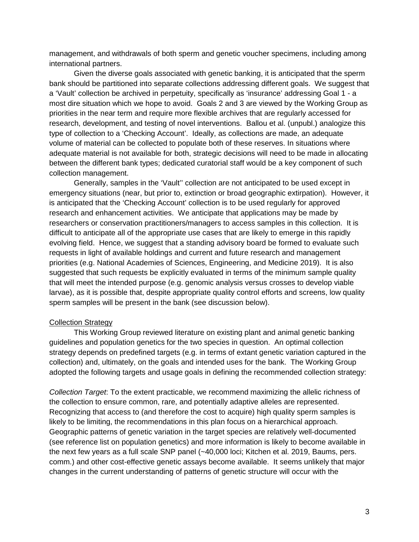management, and withdrawals of both sperm and genetic voucher specimens, including among international partners.

Given the diverse goals associated with genetic banking, it is anticipated that the sperm bank should be partitioned into separate collections addressing different goals. We suggest that a 'Vault' collection be archived in perpetuity, specifically as 'insurance' addressing Goal 1 - a most dire situation which we hope to avoid. Goals 2 and 3 are viewed by the Working Group as priorities in the near term and require more flexible archives that are regularly accessed for research, development, and testing of novel interventions. Ballou et al. (unpubl.) analogize this type of collection to a 'Checking Account'. Ideally, as collections are made, an adequate volume of material can be collected to populate both of these reserves. In situations where adequate material is not available for both, strategic decisions will need to be made in allocating between the different bank types; dedicated curatorial staff would be a key component of such collection management.

Generally, samples in the 'Vault'' collection are not anticipated to be used except in emergency situations (near, but prior to, extinction or broad geographic extirpation). However, it is anticipated that the 'Checking Account' collection is to be used regularly for approved research and enhancement activities. We anticipate that applications may be made by researchers or conservation practitioners/managers to access samples in this collection. It is difficult to anticipate all of the appropriate use cases that are likely to emerge in this rapidly evolving field. Hence, we suggest that a standing advisory board be formed to evaluate such requests in light of available holdings and current and future research and management priorities (e.g. National Academies of Sciences, Engineering, and Medicine 2019). It is also suggested that such requests be explicitly evaluated in terms of the minimum sample quality that will meet the intended purpose (e.g. genomic analysis versus crosses to develop viable larvae), as it is possible that, despite appropriate quality control efforts and screens, low quality sperm samples will be present in the bank (see discussion below).

### Collection Strategy

This Working Group reviewed literature on existing plant and animal genetic banking guidelines and population genetics for the two species in question. An optimal collection strategy depends on predefined targets (e.g. in terms of extant genetic variation captured in the collection) and, ultimately, on the goals and intended uses for the bank. The Working Group adopted the following targets and usage goals in defining the recommended collection strategy:

*Collection Target*: To the extent practicable, we recommend maximizing the allelic richness of the collection to ensure common, rare, and potentially adaptive alleles are represented. Recognizing that access to (and therefore the cost to acquire) high quality sperm samples is likely to be limiting, the recommendations in this plan focus on a hierarchical approach. Geographic patterns of genetic variation in the target species are relatively well-documented (see reference list on population genetics) and more information is likely to become available in the next few years as a full scale SNP panel (~40,000 loci; Kitchen et al. 2019, Baums, pers. comm.) and other cost-effective genetic assays become available. It seems unlikely that major changes in the current understanding of patterns of genetic structure will occur with the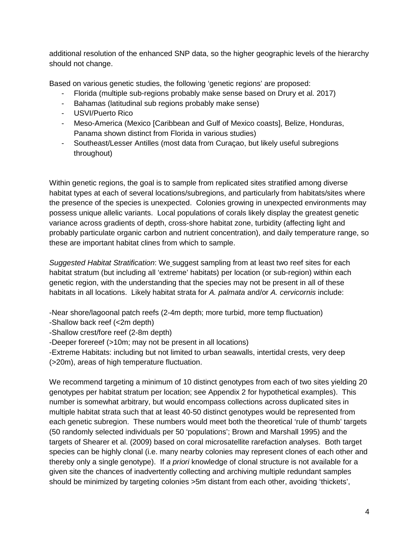additional resolution of the enhanced SNP data, so the higher geographic levels of the hierarchy should not change.

Based on various genetic studies, the following 'genetic regions' are proposed:

- Florida (multiple sub-regions probably make sense based on Drury et al. 2017)
- Bahamas (latitudinal sub regions probably make sense)
- USVI/Puerto Rico
- Meso-America (Mexico [Caribbean and Gulf of Mexico coasts], Belize, Honduras, Panama shown distinct from Florida in various studies)
- Southeast/Lesser Antilles (most data from Curaçao, but likely useful subregions throughout)

Within genetic regions, the goal is to sample from replicated sites stratified among diverse habitat types at each of several locations/subregions, and particularly from habitats/sites where the presence of the species is unexpected. Colonies growing in unexpected environments may possess unique allelic variants. Local populations of corals likely display the greatest genetic variance across gradients of depth, cross-shore habitat zone, turbidity (affecting light and probably particulate organic carbon and nutrient concentration), and daily temperature range, so these are important habitat clines from which to sample.

*Suggested Habitat Stratification*: We suggest sampling from at least two reef sites for each habitat stratum (but including all 'extreme' habitats) per location (or sub-region) within each genetic region, with the understanding that the species may not be present in all of these habitats in all locations. Likely habitat strata for *A. palmata* and/or *A. cervicornis* include:

-Near shore/lagoonal patch reefs (2-4m depth; more turbid, more temp fluctuation)

- -Shallow back reef (<2m depth)
- -Shallow crest/fore reef (2-8m depth)
- -Deeper forereef (>10m; may not be present in all locations)

-Extreme Habitats: including but not limited to urban seawalls, intertidal crests, very deep (>20m), areas of high temperature fluctuation.

We recommend targeting a minimum of 10 distinct genotypes from each of two sites yielding 20 genotypes per habitat stratum per location; see Appendix 2 for hypothetical examples). This number is somewhat arbitrary, but would encompass collections across duplicated sites in multiple habitat strata such that at least 40-50 distinct genotypes would be represented from each genetic subregion. These numbers would meet both the theoretical 'rule of thumb' targets (50 randomly selected individuals per 50 'populations'; Brown and Marshall 1995) and the targets of Shearer et al. (2009) based on coral microsatellite rarefaction analyses. Both target species can be highly clonal (i.e. many nearby colonies may represent clones of each other and thereby only a single genotype). If *a priori* knowledge of clonal structure is not available for a given site the chances of inadvertently collecting and archiving multiple redundant samples should be minimized by targeting colonies >5m distant from each other, avoiding 'thickets',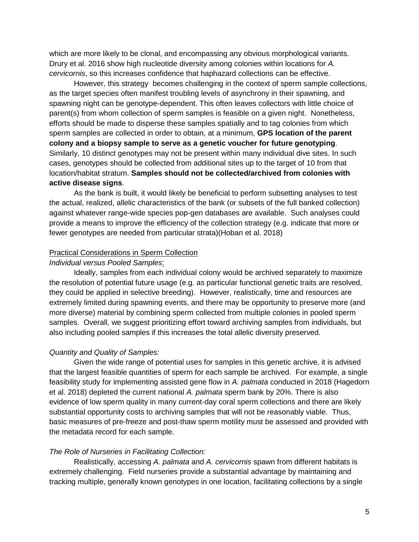which are more likely to be clonal, and encompassing any obvious morphological variants. Drury et al. 2016 show high nucleotide diversity among colonies within locations for *A. cervicornis*, so this increases confidence that haphazard collections can be effective.

However, this strategy becomes challenging in the context of sperm sample collections, as the target species often manifest troubling levels of asynchrony in their spawning, and spawning night can be genotype-dependent. This often leaves collectors with little choice of parent(s) from whom collection of sperm samples is feasible on a given night. Nonetheless, efforts should be made to disperse these samples spatially and to tag colonies from which sperm samples are collected in order to obtain, at a minimum, **GPS location of the parent colony and a biopsy sample to serve as a genetic voucher for future genotyping**. Similarly, 10 distinct genotypes may not be present within many individual dive sites. In such cases, genotypes should be collected from additional sites up to the target of 10 from that location/habitat stratum. **Samples should not be collected/archived from colonies with active disease signs**.

As the bank is built, it would likely be beneficial to perform subsetting analyses to test the actual, realized, allelic characteristics of the bank (or subsets of the full banked collection) against whatever range-wide species pop-gen databases are available. Such analyses could provide a means to improve the efficiency of the collection strategy (e.g. indicate that more or fewer genotypes are needed from particular strata)(Hoban et al. 2018)

#### Practical Considerations in Sperm Collection

#### *Individual versus Pooled Samples*:

Ideally, samples from each individual colony would be archived separately to maximize the resolution of potential future usage (e.g. as particular functional genetic traits are resolved, they could be applied in selective breeding). However, realistically, time and resources are extremely limited during spawning events, and there may be opportunity to preserve more (and more diverse) material by combining sperm collected from multiple colonies in pooled sperm samples. Overall, we suggest prioritizing effort toward archiving samples from individuals, but also including pooled samples if this increases the total allelic diversity preserved.

#### *Quantity and Quality of Samples:*

Given the wide range of potential uses for samples in this genetic archive, it is advised that the largest feasible quantities of sperm for each sample be archived. For example, a single feasibility study for implementing assisted gene flow in *A. palmata* conducted in 2018 (Hagedorn et al. 2018) depleted the current national *A. palmata* sperm bank by 20%. There is also evidence of low sperm quality in many current-day coral sperm collections and there are likely substantial opportunity costs to archiving samples that will not be reasonably viable. Thus, basic measures of pre-freeze and post-thaw sperm motility must be assessed and provided with the metadata record for each sample.

## *The Role of Nurseries in Facilitating Collection:*

Realistically, accessing *A. palmata* and *A. cervicornis* spawn from different habitats is extremely challenging. Field nurseries provide a substantial advantage by maintaining and tracking multiple, generally known genotypes in one location, facilitating collections by a single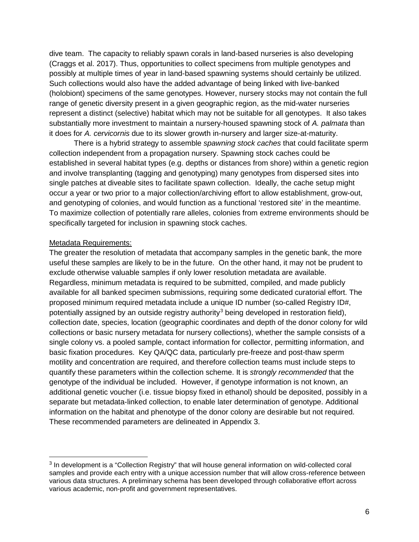dive team. The capacity to reliably spawn corals in land-based nurseries is also developing (Craggs et al. 2017). Thus, opportunities to collect specimens from multiple genotypes and possibly at multiple times of year in land-based spawning systems should certainly be utilized. Such collections would also have the added advantage of being linked with live-banked (holobiont) specimens of the same genotypes. However, nursery stocks may not contain the full range of genetic diversity present in a given geographic region, as the mid-water nurseries represent a distinct (selective) habitat which may not be suitable for all genotypes. It also takes substantially more investment to maintain a nursery-housed spawning stock of *A. palmata* than it does for *A. cervicornis* due to its slower growth in-nursery and larger size-at-maturity.

There is a hybrid strategy to assemble *spawning stock caches* that could facilitate sperm collection independent from a propagation nursery. Spawning stock caches could be established in several habitat types (e.g. depths or distances from shore) within a genetic region and involve transplanting (tagging and genotyping) many genotypes from dispersed sites into single patches at diveable sites to facilitate spawn collection. Ideally, the cache setup might occur a year or two prior to a major collection/archiving effort to allow establishment, grow-out, and genotyping of colonies, and would function as a functional 'restored site' in the meantime. To maximize collection of potentially rare alleles, colonies from extreme environments should be specifically targeted for inclusion in spawning stock caches.

## Metadata Requirements:

The greater the resolution of metadata that accompany samples in the genetic bank, the more useful these samples are likely to be in the future. On the other hand, it may not be prudent to exclude otherwise valuable samples if only lower resolution metadata are available. Regardless, minimum metadata is required to be submitted, compiled, and made publicly available for all banked specimen submissions, requiring some dedicated curatorial effort. The proposed minimum required metadata include a unique ID number (so-called Registry ID#, potentially assigned by an outside registry authority<sup>[3](#page-5-0)</sup> being developed in restoration field), collection date, species, location (geographic coordinates and depth of the donor colony for wild collections or basic nursery metadata for nursery collections), whether the sample consists of a single colony vs. a pooled sample, contact information for collector, permitting information, and basic fixation procedures. Key QA/QC data, particularly pre-freeze and post-thaw sperm motility and concentration are required, and therefore collection teams must include steps to quantify these parameters within the collection scheme. It is *strongly recommended* that the genotype of the individual be included. However, if genotype information is not known, an additional genetic voucher (i.e. tissue biopsy fixed in ethanol) should be deposited, possibly in a separate but metadata-linked collection, to enable later determination of genotype. Additional information on the habitat and phenotype of the donor colony are desirable but not required. These recommended parameters are delineated in Appendix 3.

<span id="page-5-0"></span> <sup>3</sup> In development is a "Collection Registry" that will house general information on wild-collected coral samples and provide each entry with a unique accession number that will allow cross-reference between various data structures. A preliminary schema has been developed through collaborative effort across various academic, non-profit and government representatives.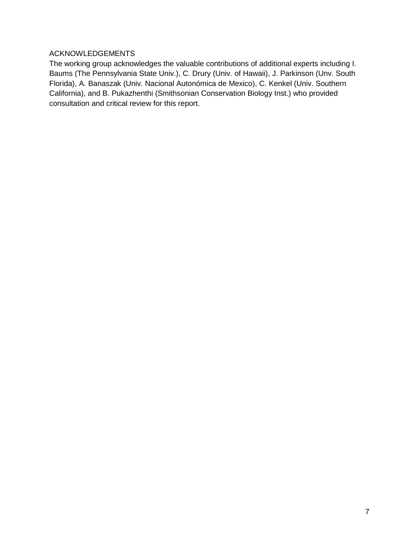# ACKNOWLEDGEMENTS

The working group acknowledges the valuable contributions of additional experts including I. Baums (The Pennsylvania State Univ.), C. Drury (Univ. of Hawaii), J. Parkinson (Unv. South Florida), A. Banaszak (Univ. Nacional Autonómica de Mexico), C. Kenkel (Univ. Southern California), and B. Pukazhenthi (Smithsonian Conservation Biology Inst.) who provided consultation and critical review for this report.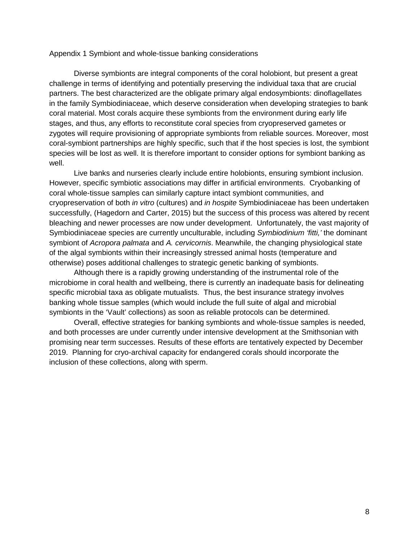#### Appendix 1 Symbiont and whole-tissue banking considerations

 Diverse symbionts are integral components of the coral holobiont, but present a great challenge in terms of identifying and potentially preserving the individual taxa that are crucial partners. The best characterized are the obligate primary algal endosymbionts: dinoflagellates in the family Symbiodiniaceae, which deserve consideration when developing strategies to bank coral material. Most corals acquire these symbionts from the environment during early life stages, and thus, any efforts to reconstitute coral species from cryopreserved gametes or zygotes will require provisioning of appropriate symbionts from reliable sources. Moreover, most coral-symbiont partnerships are highly specific, such that if the host species is lost, the symbiont species will be lost as well. It is therefore important to consider options for symbiont banking as well.

Live banks and nurseries clearly include entire holobionts, ensuring symbiont inclusion. However, specific symbiotic associations may differ in artificial environments. Cryobanking of coral whole-tissue samples can similarly capture intact symbiont communities, and cryopreservation of both *in vitro* (cultures) and *in hospite* Symbiodiniaceae has been undertaken successfully, (Hagedorn and Carter, 2015) but the success of this process was altered by recent bleaching and newer processes are now under development. Unfortunately, the vast majority of Symbiodiniaceae species are currently unculturable, including *Symbiodinium 'fitti,'* the dominant symbiont of *Acropora palmata* and *A. cervicornis*. Meanwhile, the changing physiological state of the algal symbionts within their increasingly stressed animal hosts (temperature and otherwise) poses additional challenges to strategic genetic banking of symbionts.

Although there is a rapidly growing understanding of the instrumental role of the microbiome in coral health and wellbeing, there is currently an inadequate basis for delineating specific microbial taxa as obligate mutualists. Thus, the best insurance strategy involves banking whole tissue samples (which would include the full suite of algal and microbial symbionts in the 'Vault' collections) as soon as reliable protocols can be determined.

Overall, effective strategies for banking symbionts and whole-tissue samples is needed, and both processes are under currently under intensive development at the Smithsonian with promising near term successes. Results of these efforts are tentatively expected by December 2019. Planning for cryo-archival capacity for endangered corals should incorporate the inclusion of these collections, along with sperm.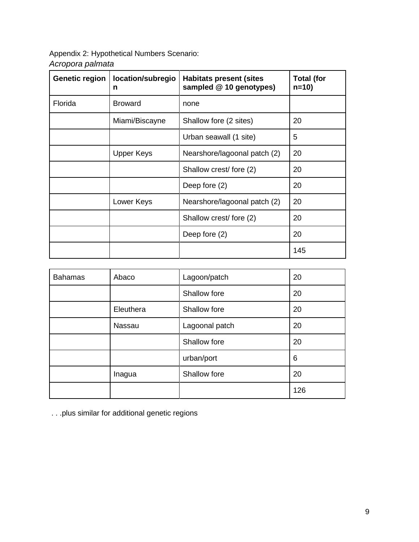Appendix 2: Hypothetical Numbers Scenario: *Acropora palmata*

| <b>Genetic region</b> | location/subregio<br>n | <b>Habitats present (sites</b><br>sampled @ 10 genotypes) | <b>Total (for</b><br>$n = 10$ |
|-----------------------|------------------------|-----------------------------------------------------------|-------------------------------|
| Florida               | <b>Broward</b>         | none                                                      |                               |
|                       | Miami/Biscayne         | Shallow fore (2 sites)                                    | 20                            |
|                       |                        | Urban seawall (1 site)                                    | 5                             |
|                       | <b>Upper Keys</b>      | Nearshore/lagoonal patch (2)                              | 20                            |
|                       |                        | Shallow crest/ fore (2)                                   | 20                            |
|                       |                        | Deep fore (2)                                             | 20                            |
|                       | Lower Keys             | Nearshore/lagoonal patch (2)                              | 20                            |
|                       |                        | Shallow crest/ fore (2)                                   | 20                            |
|                       |                        | Deep fore (2)                                             | 20                            |
|                       |                        |                                                           | 145                           |

| <b>Bahamas</b> | Abaco     | Lagoon/patch   | 20  |
|----------------|-----------|----------------|-----|
|                |           | Shallow fore   | 20  |
|                | Eleuthera | Shallow fore   | 20  |
|                | Nassau    | Lagoonal patch | 20  |
|                |           | Shallow fore   | 20  |
|                |           | urban/port     | 6   |
|                | Inagua    | Shallow fore   | 20  |
|                |           |                | 126 |

. . .plus similar for additional genetic regions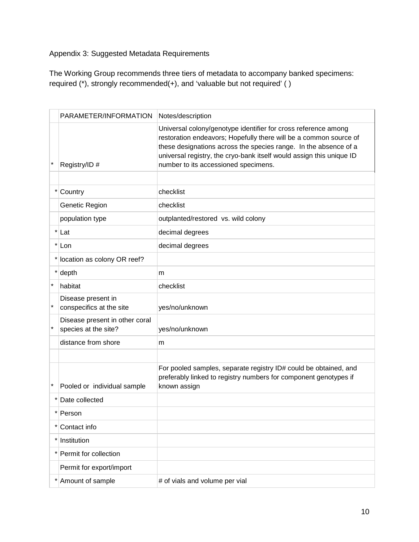Appendix 3: Suggested Metadata Requirements

The Working Group recommends three tiers of metadata to accompany banked specimens: required (\*), strongly recommended(+), and 'valuable but not required' ( )

|          | PARAMETER/INFORMATION                                  | Notes/description                                                                                                                                                                                                                                                                                                       |
|----------|--------------------------------------------------------|-------------------------------------------------------------------------------------------------------------------------------------------------------------------------------------------------------------------------------------------------------------------------------------------------------------------------|
| $\star$  | Registry/ID #                                          | Universal colony/genotype identifier for cross reference among<br>restoration endeavors; Hopefully there will be a common source of<br>these designations across the species range. In the absence of a<br>universal registry, the cryo-bank itself would assign this unique ID<br>number to its accessioned specimens. |
|          |                                                        |                                                                                                                                                                                                                                                                                                                         |
|          | $\star$<br>Country                                     | checklist                                                                                                                                                                                                                                                                                                               |
|          | Genetic Region                                         | checklist                                                                                                                                                                                                                                                                                                               |
|          | population type                                        | outplanted/restored vs. wild colony                                                                                                                                                                                                                                                                                     |
|          | $\star$<br>Lat                                         | decimal degrees                                                                                                                                                                                                                                                                                                         |
|          | $^{\star}$<br>Lon                                      | decimal degrees                                                                                                                                                                                                                                                                                                         |
|          | location as colony OR reef?                            |                                                                                                                                                                                                                                                                                                                         |
|          | $\ast$<br>depth                                        | m                                                                                                                                                                                                                                                                                                                       |
| $\star$  | habitat                                                | checklist                                                                                                                                                                                                                                                                                                               |
|          | Disease present in<br>conspecifics at the site         | yes/no/unknown                                                                                                                                                                                                                                                                                                          |
| $\star$  | Disease present in other coral<br>species at the site? | yes/no/unknown                                                                                                                                                                                                                                                                                                          |
|          | distance from shore                                    | m                                                                                                                                                                                                                                                                                                                       |
|          |                                                        |                                                                                                                                                                                                                                                                                                                         |
| $^\star$ | Pooled or individual sample                            | For pooled samples, separate registry ID# could be obtained, and<br>preferably linked to registry numbers for component genotypes if<br>known assign                                                                                                                                                                    |
|          | Date collected                                         |                                                                                                                                                                                                                                                                                                                         |
|          | $\star$<br>Person                                      |                                                                                                                                                                                                                                                                                                                         |
|          | Contact info<br>$^\star$                               |                                                                                                                                                                                                                                                                                                                         |
|          | $\star$<br>Institution                                 |                                                                                                                                                                                                                                                                                                                         |
|          | Permit for collection                                  |                                                                                                                                                                                                                                                                                                                         |
|          | Permit for export/import                               |                                                                                                                                                                                                                                                                                                                         |
|          | Amount of sample                                       | # of vials and volume per vial                                                                                                                                                                                                                                                                                          |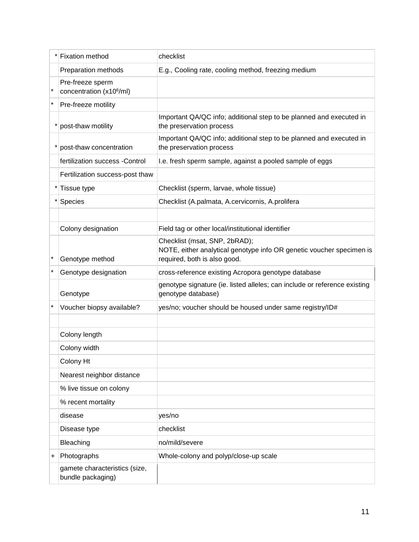|          | Fixation method                                          | checklist                                                                                                                             |  |
|----------|----------------------------------------------------------|---------------------------------------------------------------------------------------------------------------------------------------|--|
|          | Preparation methods                                      | E.g., Cooling rate, cooling method, freezing medium                                                                                   |  |
|          | Pre-freeze sperm<br>concentration (x10 <sup>6</sup> /ml) |                                                                                                                                       |  |
| $\star$  | Pre-freeze motility                                      |                                                                                                                                       |  |
|          | post-thaw motility                                       | Important QA/QC info; additional step to be planned and executed in<br>the preservation process                                       |  |
|          | post-thaw concentration                                  | Important QA/QC info; additional step to be planned and executed in<br>the preservation process                                       |  |
|          | fertilization success - Control                          | I.e. fresh sperm sample, against a pooled sample of eggs                                                                              |  |
|          | Fertilization success-post thaw                          |                                                                                                                                       |  |
|          | Tissue type                                              | Checklist (sperm, larvae, whole tissue)                                                                                               |  |
|          | Species                                                  | Checklist (A.palmata, A.cervicornis, A.prolifera                                                                                      |  |
|          |                                                          |                                                                                                                                       |  |
|          | Colony designation                                       | Field tag or other local/institutional identifier                                                                                     |  |
| $^\star$ | Genotype method                                          | Checklist (msat, SNP, 2bRAD);<br>NOTE, either analytical genotype info OR genetic voucher specimen is<br>required, both is also good. |  |
| $^\star$ | Genotype designation                                     | cross-reference existing Acropora genotype database                                                                                   |  |
|          | Genotype                                                 | genotype signature (ie. listed alleles; can include or reference existing<br>genotype database)                                       |  |
|          | Voucher biopsy available?                                | yes/no; voucher should be housed under same registry/ID#                                                                              |  |
|          |                                                          |                                                                                                                                       |  |
|          | Colony length                                            |                                                                                                                                       |  |
|          | Colony width                                             |                                                                                                                                       |  |
|          | Colony Ht                                                |                                                                                                                                       |  |
|          | Nearest neighbor distance                                |                                                                                                                                       |  |
|          | % live tissue on colony                                  |                                                                                                                                       |  |
|          | % recent mortality                                       |                                                                                                                                       |  |
|          | disease                                                  | yes/no                                                                                                                                |  |
|          | Disease type                                             | checklist                                                                                                                             |  |
|          | Bleaching                                                | no/mild/severe                                                                                                                        |  |
| +        | Photographs                                              | Whole-colony and polyp/close-up scale                                                                                                 |  |
|          | gamete characteristics (size,<br>bundle packaging)       |                                                                                                                                       |  |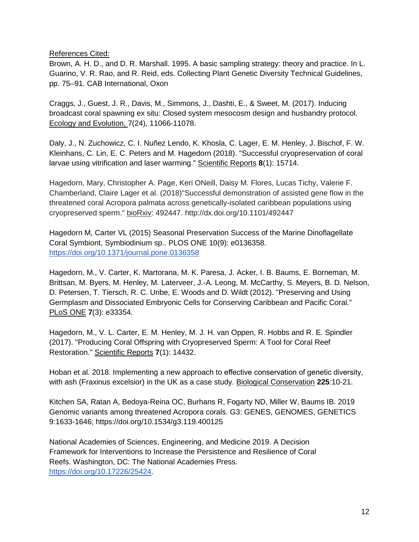References Cited:

Brown, A. H. D., and D. R. Marshall. 1995. A basic sampling strategy: theory and practice. In L. Guarino, V. R. Rao, and R. Reid, eds. Collecting Plant Genetic Diversity Technical Guidelines, pp. 75–91. CAB International, Oxon

Craggs, J., Guest, J. R., Davis, M., Simmons, J., Dashti, E., & Sweet, M. (2017). Inducing broadcast coral spawning ex situ: Closed system mesocosm design and husbandry protocol. Ecology and Evolution, 7(24), 11066-11078.

Daly, J., N. Zuchowicz, C. I. Nuñez Lendo, K. Khosla, C. Lager, E. M. Henley, J. Bischof, F. W. Kleinhans, C. Lin, E. C. Peters and M. Hagedorn (2018). "Successful cryopreservation of coral larvae using vitrification and laser warming." Scientific Reports **8**(1): 15714.

Hagedorn, Mary, Christopher A. Page, Keri ONeill, Daisy M. Flores, Lucas Tichy, Valerie F. Chamberland, Claire Lager et al. (2018)"Successful demonstration of assisted gene flow in the threatened coral Acropora palmata across genetically-isolated caribbean populations using cryopreserved sperm." bioRxiv: 492447. http://dx.doi.org/10.1101/492447

Hagedorn M, Carter VL (2015) Seasonal Preservation Success of the Marine Dinoflagellate Coral Symbiont, Symbiodinium sp.. PLOS ONE 10(9): e0136358. <https://doi.org/10.1371/journal.pone.0136358>

Hagedorn, M., V. Carter, K. Martorana, M. K. Paresa, J. Acker, I. B. Baums, E. Borneman, M. Brittsan, M. Byers, M. Henley, M. Laterveer, J.-A. Leong, M. McCarthy, S. Meyers, B. D. Nelson, D. Petersen, T. Tiersch, R. C. Uribe, E. Woods and D. Wildt (2012). "Preserving and Using Germplasm and Dissociated Embryonic Cells for Conserving Caribbean and Pacific Coral." PLoS ONE **7**(3): e33354.

Hagedorn, M., V. L. Carter, E. M. Henley, M. J. H. van Oppen, R. Hobbs and R. E. Spindler (2017). "Producing Coral Offspring with Cryopreserved Sperm: A Tool for Coral Reef Restoration." Scientific Reports **7**(1): 14432.

Hoban et al. 2018. Implementing a new approach to effective conservation of genetic diversity, with ash (Fraxinus excelsior) in the UK as a case study. Biological Conservation **225**:10-21.

Kitchen SA, Ratan A, Bedoya-Reina OC, Burhans R, Fogarty ND, Miller W, Baums IB. 2019 Genomic variants among threatened Acropora corals. G3: GENES, GENOMES, GENETICS 9:1633-1646; https://doi.org/10.1534/g3.119.400125

National Academies of Sciences, Engineering, and Medicine 2019. A Decision Framework for Interventions to Increase the Persistence and Resilience of Coral Reefs. Washington, DC: The National Academies Press. [https://doi.org/10.17226/25424.](https://doi.org/10.17226/25424)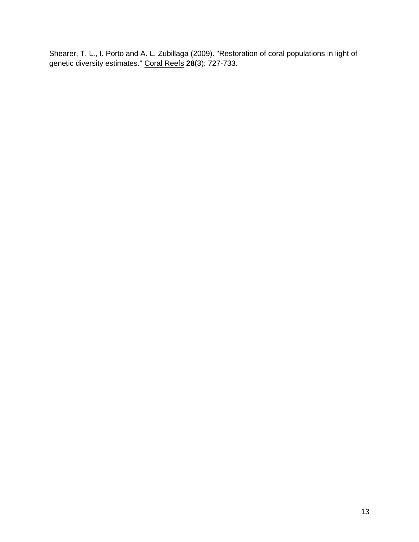Shearer, T. L., I. Porto and A. L. Zubillaga (2009). "Restoration of coral populations in light of genetic diversity estimates." Coral Reefs **28**(3): 727-733.